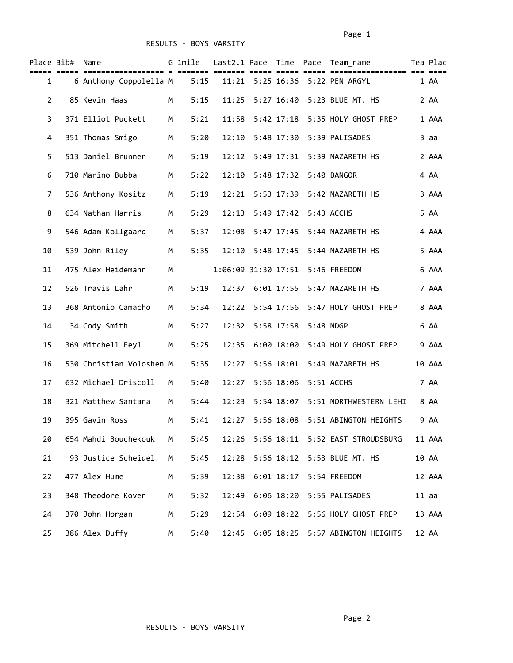|                       | Place Bib# Name |                          |   | G 1mile |       |              |                       | Last2.1 Pace Time Pace Team name       | Tea Plac |
|-----------------------|-----------------|--------------------------|---|---------|-------|--------------|-----------------------|----------------------------------------|----------|
| 1                     |                 | 6 Anthony Coppolella M   |   | 5:15    |       |              |                       | 11:21 5:25 16:36 5:22 PEN ARGYL        | 1 AA     |
| $\mathbf{2}^{\prime}$ |                 | 85 Kevin Haas            | М | 5:15    | 11:25 |              |                       | 5:27 16:40 5:23 BLUE MT. HS            | 2 AA     |
| 3                     |                 | 371 Elliot Puckett       | M | 5:21    | 11:58 |              |                       |                                        | 1 AAA    |
| 4                     |                 | 351 Thomas Smigo         | M | 5:20    | 12:10 |              |                       | 5:48 17:30    5:39    PALISADES        | 3 aa     |
| 5                     |                 | 513 Daniel Brunner       | M | 5:19    | 12:12 |              |                       | 5:49 17:31 5:39 NAZARETH HS            | 2 AAA    |
| 6                     |                 | 710 Marino Bubba         | M | 5:22    | 12:10 |              |                       | 5:48 17:32    5:40    BANGOR           | 4 AA     |
| 7                     |                 | 536 Anthony Kositz       | M | 5:19    | 12:21 |              |                       | 5:53 17:39    5:42    NAZARETH    HS   | 3 AAA    |
| 8                     |                 | 634 Nathan Harris        | M | 5:29    | 12:13 |              | 5:49 17:42 5:43 ACCHS |                                        | 5 AA     |
| 9                     |                 | 546 Adam Kollgaard       | M | 5:37    | 12:08 | 5:47 17:45   |                       | 5:44 NAZARETH HS                       | 4 AAA    |
| 10                    |                 | 539 John Riley           | M | 5:35    | 12:10 | 5:48 17:45   |                       | 5:44 NAZARETH HS                       | 5 AAA    |
| 11                    |                 | 475 Alex Heidemann       | M |         |       |              |                       | 1:06:09 31:30 17:51 5:46 FREEDOM       | 6 AAA    |
| 12                    |                 | 526 Travis Lahr          | М | 5:19    |       |              |                       | 12:37 6:01 17:55 5:47 NAZARETH HS      | 7 AAA    |
| 13                    |                 | 368 Antonio Camacho      | M | 5:34    | 12:22 | 5:54 17:56   |                       | 5:47 HOLY GHOST PREP                   | 8 AAA    |
| 14                    |                 | 34 Cody Smith            | M | 5:27    | 12:32 | 5:58 17:58   | 5:48 NDGP             |                                        | 6 AA     |
| 15                    |                 | 369 Mitchell Feyl        | M | 5:25    | 12:35 | 6:00 18:00   |                       | 5:49 HOLY GHOST PREP                   | 9 AAA    |
| 16                    |                 | 530 Christian Voloshen M |   | 5:35    | 12:27 |              |                       | 5:56 18:01    5:49 NAZARETH HS         | 10 AAA   |
| 17                    |                 | 632 Michael Driscoll     | M | 5:40    | 12:27 | 5:56 18:06   |                       | 5:51 ACCHS                             | 7 AA     |
| 18                    |                 | 321 Matthew Santana      | М | 5:44    | 12:23 | 5:54 18:07   |                       | 5:51 NORTHWESTERN LEHI                 | 8 AA     |
| 19                    |                 | 395 Gavin Ross           | М | 5:41    | 12:27 |              |                       | 5:56 18:08    5:51 ABINGTON HEIGHTS    | 9 AA     |
| 20                    |                 | 654 Mahdi Bouchekouk     | М | 5:45    | 12:26 |              |                       | 5:56 18:11    5:52    EAST STROUDSBURG | 11 AAA   |
| 21                    |                 | 93 Justice Scheidel      | М | 5:45    | 12:28 | 5:56 18:12   |                       | 5:53 BLUE MT. HS                       | 10 AA    |
| 22                    |                 | 477 Alex Hume            | М | 5:39    | 12:38 | $6:01$ 18:17 |                       | 5:54 FREEDOM                           | 12 AAA   |
| 23                    |                 | 348 Theodore Koven       | М | 5:32    | 12:49 | 6:06 18:20   |                       | 5:55 PALISADES                         | $11$ aa  |
| 24                    |                 | 370 John Horgan          | М | 5:29    |       |              |                       | 12:54 6:09 18:22 5:56 HOLY GHOST PREP  | 13 AAA   |
| 25                    |                 | 386 Alex Duffy           | M | 5:40    |       |              |                       | 12:45 6:05 18:25 5:57 ABINGTON HEIGHTS | 12 AA    |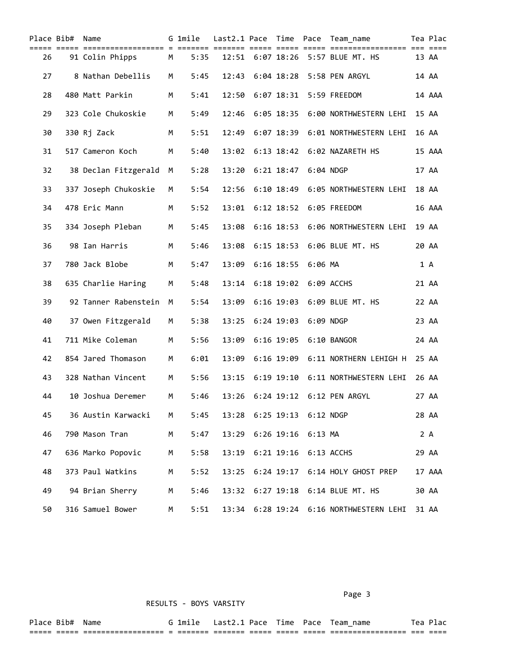|    | Place Bib# Name |                      |   | G 1mile<br>==== == |       |  |                             | Last2.1 Pace Time Pace Team name                |       | Tea Plac |
|----|-----------------|----------------------|---|--------------------|-------|--|-----------------------------|-------------------------------------------------|-------|----------|
| 26 |                 | 91 Colin Phipps      | M | 5:35               |       |  |                             | 12:51 6:07 18:26 5:57 BLUE MT. HS               |       | 13 AA    |
| 27 |                 | 8 Nathan Debellis    | М | 5:45               | 12:43 |  |                             | 6:04 18:28    5:58    PEN ARGYL                 |       | 14 AA    |
| 28 |                 | 480 Matt Parkin      | М | 5:41               | 12:50 |  |                             | 6:07 18:31 5:59 FREEDOM                         |       | 14 AAA   |
| 29 |                 | 323 Cole Chukoskie   | М | 5:49               |       |  |                             | 12:46   6:05   18:35   6:00   NORTHWESTERN LEHI |       | 15 AA    |
| 30 |                 | 330 Rj Zack          | M | 5:51               |       |  |                             | 12:49 6:07 18:39 6:01 NORTHWESTERN LEHI         |       | 16 AA    |
| 31 |                 | 517 Cameron Koch     | M | 5:40               |       |  |                             | 13:02 6:13 18:42 6:02 NAZARETH HS               |       | 15 AAA   |
| 32 |                 | 38 Declan Fitzgerald | M | 5:28               | 13:20 |  | 6:21 18:47 6:04 NDGP        |                                                 |       | 17 AA    |
| 33 |                 | 337 Joseph Chukoskie | M | 5:54               | 12:56 |  |                             |                                                 | 18 AA |          |
| 34 |                 | 478 Eric Mann        | M | 5:52               | 13:01 |  |                             | 6:12 18:52 6:05 FREEDOM                         |       | 16 AAA   |
| 35 |                 | 334 Joseph Pleban    | М | 5:45               | 13:08 |  |                             | 6:16 18:53 6:06 NORTHWESTERN LEHI               |       | 19 AA    |
| 36 |                 | 98 Ian Harris        | М | 5:46               | 13:08 |  |                             | 6:15 18:53 6:06 BLUE MT. HS                     | 20 AA |          |
| 37 |                 | 780 Jack Blobe       | М | 5:47               |       |  | 13:09 6:16 18:55 6:06 MA    |                                                 |       | 1 A      |
| 38 |                 | 635 Charlie Haring   | M | 5:48               |       |  | 13:14 6:18 19:02 6:09 ACCHS |                                                 | 21 AA |          |
| 39 |                 | 92 Tanner Rabenstein | M | 5:54               | 13:09 |  |                             | 6:16 19:03 6:09 BLUE MT. HS                     | 22 AA |          |
| 40 |                 | 37 Owen Fitzgerald   | M | 5:38               |       |  | 13:25 6:24 19:03 6:09 NDGP  |                                                 | 23 AA |          |
| 41 |                 | 711 Mike Coleman     | M | 5:56               | 13:09 |  |                             | 6:16 19:05 6:10 BANGOR                          | 24 AA |          |
| 42 |                 | 854 Jared Thomason   | М | 6:01               | 13:09 |  |                             | 6:16 19:09 6:11 NORTHERN LEHIGH H               | 25 AA |          |
| 43 |                 | 328 Nathan Vincent   | М | 5:56               | 13:15 |  |                             | 6:19 19:10 6:11 NORTHWESTERN LEHI               | 26 AA |          |
| 44 |                 | 10 Joshua Deremer    | М | 5:46               | 13:26 |  |                             | 6:24 19:12 6:12 PEN ARGYL                       | 27 AA |          |
| 45 |                 | 36 Austin Karwacki   | M | 5:45               | 13:28 |  | 6:25 19:13    6:12    NDGP  |                                                 |       | 28 AA    |
| 46 |                 | 790 Mason Tran       | М | 5:47               |       |  | 13:29 6:26 19:16 6:13 MA    |                                                 |       | 2A       |
| 47 |                 | 636 Marko Popovic    | M | 5:58               | 13:19 |  |                             | 6:21 19:16 6:13 ACCHS                           |       | 29 AA    |
| 48 |                 | 373 Paul Watkins     | M | 5:52               | 13:25 |  |                             |                                                 |       | 17 AAA   |
| 49 |                 | 94 Brian Sherry      | M | 5:46               |       |  |                             | 13:32 6:27 19:18 6:14 BLUE MT. HS               |       | 30 AA    |
| 50 |                 | 316 Samuel Bower     | M | 5:51               |       |  |                             | 13:34 6:28 19:24 6:16 NORTHWESTERN LEHI         |       | 31 AA    |

Page 3 and 2012 and 2012 and 2012 and 2012 and 2012 and 2012 and 2012 and 2012 and 2012 and 2012 and 2012 and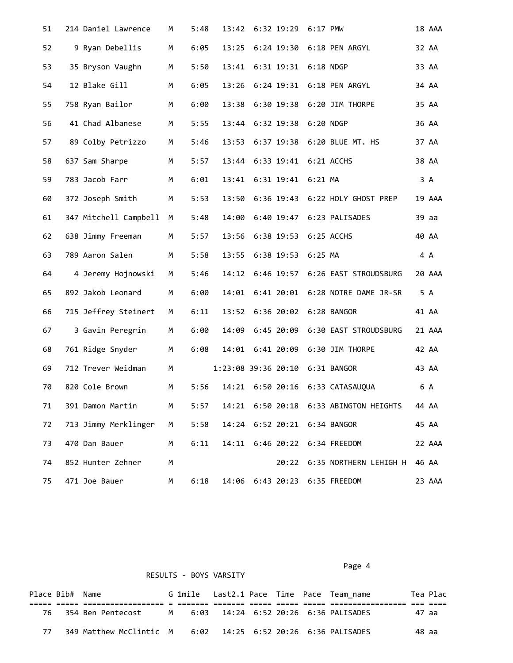| 51 | 214 Daniel Lawrence   | М | 5:48 | 13:42                           | 6:32 19:29 6:17 PMW         |                                        | 18 AAA |  |
|----|-----------------------|---|------|---------------------------------|-----------------------------|----------------------------------------|--------|--|
| 52 | 9 Ryan Debellis       | M | 6:05 | 13:25                           |                             | 6:24 19:30 6:18 PEN ARGYL              | 32 AA  |  |
| 53 | 35 Bryson Vaughn      | M | 5:50 | 13:41                           | 6:31 19:31 6:18 NDGP        |                                        | 33 AA  |  |
| 54 | 12 Blake Gill         | M | 6:05 | 13:26                           |                             | 6:24 19:31 6:18 PEN ARGYL              | 34 AA  |  |
| 55 | 758 Ryan Bailor       | M | 6:00 | 13:38                           |                             | 6:30 19:38    6:20 JIM THORPE          | 35 AA  |  |
| 56 | 41 Chad Albanese      | M | 5:55 |                                 | 13:44 6:32 19:38 6:20 NDGP  |                                        | 36 AA  |  |
| 57 | 89 Colby Petrizzo     | М | 5:46 |                                 |                             | 13:53 6:37 19:38 6:20 BLUE MT. HS      | 37 AA  |  |
| 58 | 637 Sam Sharpe        | M | 5:57 |                                 | 13:44 6:33 19:41 6:21 ACCHS |                                        | 38 AA  |  |
| 59 | 783 Jacob Farr        | M | 6:01 | 13:41                           | 6:31 19:41 6:21 MA          |                                        | 3 A    |  |
| 60 | 372 Joseph Smith      | M | 5:53 | 13:50                           |                             | 6:36 19:43 6:22 HOLY GHOST PREP        | 19 AAA |  |
| 61 | 347 Mitchell Campbell | M | 5:48 | 14:00                           |                             | 6:40 19:47 6:23 PALISADES              | 39 aa  |  |
| 62 | 638 Jimmy Freeman     | M | 5:57 | 13:56                           | 6:38 19:53 6:25 ACCHS       |                                        | 40 AA  |  |
| 63 | 789 Aaron Salen       | M | 5:58 | 13:55                           | 6:38 19:53 6:25 MA          |                                        | 4 A    |  |
| 64 | 4 Jeremy Hojnowski    | M | 5:46 |                                 |                             | 14:12 6:46 19:57 6:26 EAST STROUDSBURG | 20 AAA |  |
| 65 | 892 Jakob Leonard     | M | 6:00 | 14:01                           |                             | 6:41 20:01 6:28 NOTRE DAME JR-SR       | 5 A    |  |
| 66 | 715 Jeffrey Steinert  | M | 6:11 | 13:52                           |                             | 6:36 20:02 6:28 BANGOR                 | 41 AA  |  |
| 67 | 3 Gavin Peregrin      | M | 6:00 | 14:09                           |                             | 6:45 20:09 6:30 EAST STROUDSBURG       | 21 AAA |  |
| 68 | 761 Ridge Snyder      | M | 6:08 |                                 |                             | 14:01 6:41 20:09 6:30 JIM THORPE       | 42 AA  |  |
| 69 | 712 Trever Weidman    | М |      | 1:23:08 39:36 20:10 6:31 BANGOR |                             |                                        | 43 AA  |  |
| 70 | 820 Cole Brown        | М | 5:56 |                                 |                             | 14:21 6:50 20:16 6:33 CATASAUQUA       | 6 A    |  |
| 71 | 391 Damon Martin      | М | 5:57 |                                 |                             | 14:21 6:50 20:18 6:33 ABINGTON HEIGHTS | 44 AA  |  |
| 72 | 713 Jimmy Merklinger  | M | 5:58 |                                 |                             | 14:24 6:52 20:21 6:34 BANGOR           | 45 AA  |  |
| 73 | 470 Dan Bauer         | M | 6:11 |                                 |                             | 14:11 6:46 20:22 6:34 FREEDOM          | 22 AAA |  |
| 74 | 852 Hunter Zehner     | М |      |                                 |                             | 20:22 6:35 NORTHERN LEHIGH H           | 46 AA  |  |
| 75 | 471 Joe Bauer         | М | 6:18 | 14:06                           |                             | 6:43 20:23 6:35 FREEDOM                | 23 AAA |  |

| RESULTS - BOYS VARSITY |                 |                                                              |  |  |  |  |  |  |                                          |       |          |  |
|------------------------|-----------------|--------------------------------------------------------------|--|--|--|--|--|--|------------------------------------------|-------|----------|--|
|                        | Place Bib# Name |                                                              |  |  |  |  |  |  | G 1mile Last2.1 Pace Time Pace Team name |       | Tea Plac |  |
|                        |                 | 76 354 Ben Pentecost M 6:03 14:24 6:52 20:26 6:36 PALISADES  |  |  |  |  |  |  |                                          | 47 aa |          |  |
| 77.                    |                 | 349 Matthew McClintic M 6:02 14:25 6:52 20:26 6:36 PALISADES |  |  |  |  |  |  |                                          | 48 aa |          |  |

Page 4 and the state of the state of the state of the state of the state of the state of the state of the state of the state of the state of the state of the state of the state of the state of the state of the state of the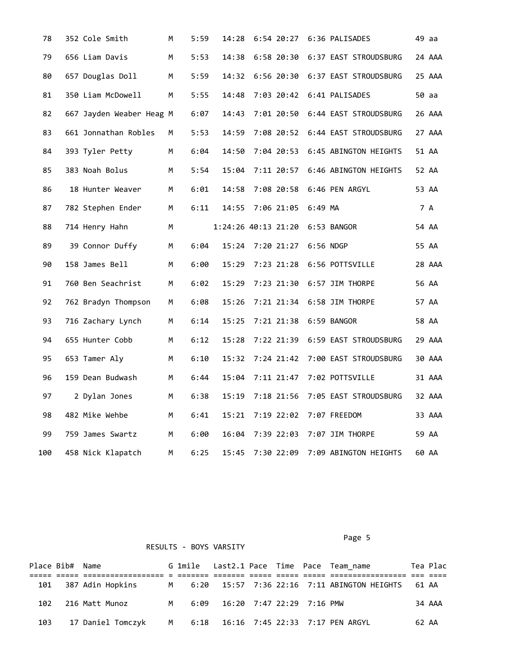| 78  | 352 Cole Smith           | М | 5:59 | 14:28                           |                        |           | 6:54 20:27 6:36 PALISADES              | 49 aa |        |
|-----|--------------------------|---|------|---------------------------------|------------------------|-----------|----------------------------------------|-------|--------|
| 79  | 656 Liam Davis           | М | 5:53 | 14:38                           |                        |           | 6:58 20:30 6:37 EAST STROUDSBURG       |       | 24 AAA |
| 80  | 657 Douglas Doll         | M | 5:59 |                                 |                        |           | 14:32 6:56 20:30 6:37 EAST STROUDSBURG |       | 25 AAA |
| 81  | 350 Liam McDowell        | M | 5:55 | 14:48                           |                        |           | 7:03 20:42 6:41 PALISADES              |       | 50 aa  |
| 82  | 667 Jayden Weaber Heag M |   | 6:07 | 14:43                           |                        |           | 7:01 20:50 6:44 EAST STROUDSBURG       |       | 26 AAA |
| 83  | 661 Jonnathan Robles     | M | 5:53 | 14:59                           |                        |           | 7:08 20:52 6:44 EAST STROUDSBURG       |       | 27 AAA |
| 84  | 393 Tyler Petty          | M | 6:04 | 14:50                           |                        |           | 7:04 20:53 6:45 ABINGTON HEIGHTS       |       | 51 AA  |
| 85  | 383 Noah Bolus           | M | 5:54 | 15:04                           |                        |           | 7:11 20:57 6:46 ABINGTON HEIGHTS       |       | 52 AA  |
| 86  | 18 Hunter Weaver         | M | 6:01 | 14:58                           |                        |           | 7:08 20:58 6:46 PEN ARGYL              |       | 53 AA  |
| 87  | 782 Stephen Ender        | М | 6:11 | 14:55                           | 7:06 21:05             | $6:49$ MA |                                        |       | 7 A    |
| 88  | 714 Henry Hahn           | M |      | 1:24:26 40:13 21:20 6:53 BANGOR |                        |           |                                        |       | 54 AA  |
| 89  | 39 Connor Duffy          | M | 6:04 | 15:24                           | 7:20 21:27 6:56 NDGP   |           |                                        | 55 AA |        |
| 90  | 158 James Bell           | M | 6:00 | 15:29                           | 7:23 21:28             |           | 6:56 POTTSVILLE                        |       | 28 AAA |
| 91  | 760 Ben Seachrist        | М | 6:02 | 15:29                           |                        |           | 7:23 21:30 6:57 JIM THORPE             |       | 56 AA  |
| 92  | 762 Bradyn Thompson      | M | 6:08 | 15:26                           |                        |           | 7:21 21:34 6:58 JIM THORPE             |       | 57 AA  |
| 93  | 716 Zachary Lynch        | М | 6:14 | 15:25                           | 7:21 21:38 6:59 BANGOR |           |                                        |       | 58 AA  |
| 94  | 655 Hunter Cobb          | М | 6:12 | 15:28                           |                        |           | 7:22 21:39 6:59 EAST STROUDSBURG       |       | 29 AAA |
| 95  | 653 Tamer Aly            | M | 6:10 | 15:32                           | 7:24 21:42             |           | 7:00 EAST STROUDSBURG                  |       | 30 AAA |
| 96  | 159 Dean Budwash         | М | 6:44 | 15:04                           | 7:11 21:47             |           | 7:02 POTTSVILLE                        |       | 31 AAA |
| 97  | 2 Dylan Jones            | М | 6:38 | 15:19                           | 7:18 21:56             |           | 7:05 EAST STROUDSBURG                  |       | 32 AAA |
| 98  | 482 Mike Wehbe           | M | 6:41 | 15:21                           | 7:19 22:02             |           | 7:07 FREEDOM                           |       | 33 AAA |
| 99  | 759 James Swartz         | M | 6:00 | 16:04                           | 7:39 22:03             |           | 7:07 JIM THORPE                        |       | 59 AA  |
| 100 | 458 Nick Klapatch        | М | 6:25 | 15:45                           | 7:30 22:09             |           | 7:09 ABINGTON HEIGHTS                  |       | 60 AA  |

Page 5 and 2012 and 2012 and 2012 and 2012 and 2012 and 2012 and 2012 and 2012 and 2012 and 2012 and 2012 and

|     | Place Bib# Name |                                                                                               |  |  |  | G 1mile Last2.1 Pace Time Pace Team name |       | Tea Plac |
|-----|-----------------|-----------------------------------------------------------------------------------------------|--|--|--|------------------------------------------|-------|----------|
|     |                 |                                                                                               |  |  |  |                                          |       |          |
| 101 |                 | 387 Adin Hopkins         M      6:20    15:57   7:36  22:16   7:11 ABINGTON HEIGHTS    61  AA |  |  |  |                                          |       |          |
|     |                 | 102 216 Matt Munoz M 6:09 16:20 7:47 22:29 7:16 PMW                                           |  |  |  |                                          |       | 34 AAA   |
| 103 |                 | 17 Daniel Tomczyk      M      6:18   16:16   7:45 22:33   7:17 PEN ARGYL                      |  |  |  |                                          | 62 AA |          |